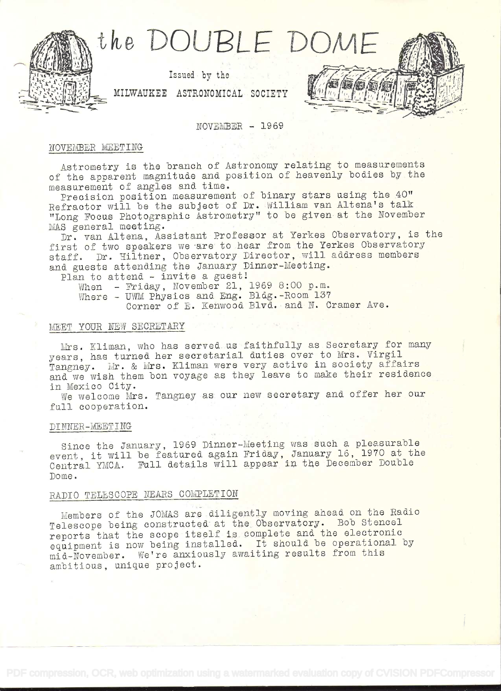

 $NOVEMBER - 1969$ 

# NOVEMBER MEETING

Astrometry is the branch of Astronomy relating to measurements of the apparent magnitude and position of heavenly bodies by the measurement of angles and time.

Precision position measurement of binary stars using the 40" Refractor will be the subject of Dr. William van Altena's talk "Long Focus Photographic Astrometry" to be given at the November MAS general meeting.

Dr. van Altena, Assistant Professor at Yerkes Observatory, is the first of two speakers we are to hear from the Yerkes Observatory staff. Dr. Hiltner, Observatory Director, will address members and guests attending the January Dinner-Meeting.<br>Plan to attend - invite a guest!

When - Friday, November 21, 1969 8:00 p.m. Where - UWM Physics and Eng. Bldg.-Room 137 Corner of E. Kenwood Blvd. and N. Cramer Ave.

# MEET YOUR NEW SECRETARY

Mrs. Kliman, who has served us faithfully as Secretary for many years, has turned her secretarial daties over to Mrs. Virgil Tangney. Mr. & Mrs. Kliman were very active in society affairs and we wish them bon voyage as they leave to make their residence in Mexico City.

We welcome Mrs. Tangney as our new secretary and offer her our fall cooperation.

#### DINNER-MEETING .

Since the January, 1969 Dinner-Meeting was such a pleasurable event, it will be featured again Friday, January 16, 1970 at the Central YMCA. Pull details will appear in. the December Double Dome.

# RADIO TELESCOPE NEARS COMPLETION

Members of the JOMAS are diligently moving ahead on the Radio Telescope being constructed at the. Observatory. Bob Stencel reports that the scope itself is complete and the electronic equipment is now being installed. It should be operational by mid-November. We're anxiously awaiting results from this ambitious, unique project.